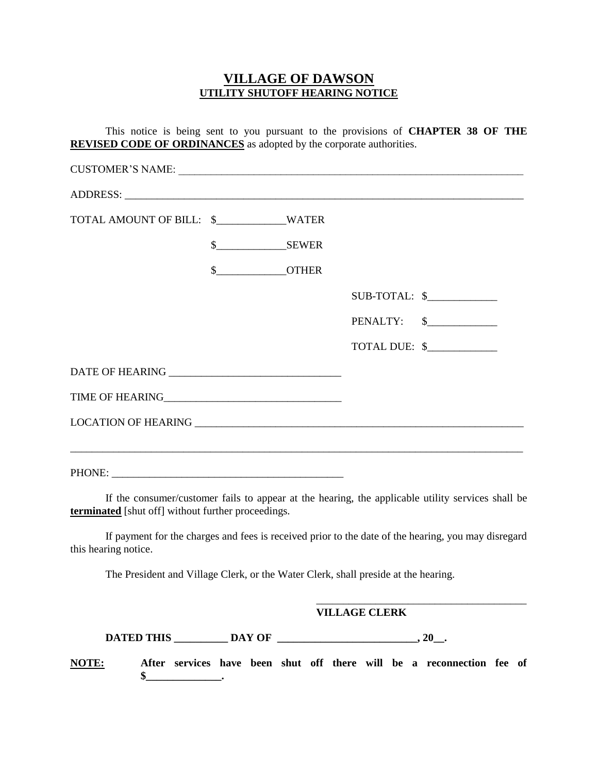# **VILLAGE OF DAWSON UTILITY SHUTOFF HEARING NOTICE**

This notice is being sent to you pursuant to the provisions of **CHAPTER 38 OF THE REVISED CODE OF ORDINANCES** as adopted by the corporate authorities.

| TOTAL AMOUNT OF BILL: \$____________WATER |                          |                 |
|-------------------------------------------|--------------------------|-----------------|
|                                           |                          |                 |
|                                           | \$_________________OTHER |                 |
|                                           |                          | $SUB-TOTAL:$ \$ |
|                                           |                          |                 |
|                                           |                          | TOTAL DUE: \$   |
|                                           |                          |                 |
|                                           |                          |                 |
|                                           |                          |                 |
|                                           |                          |                 |
| PHONE:                                    |                          |                 |

If the consumer/customer fails to appear at the hearing, the applicable utility services shall be **terminated** [shut off] without further proceedings.

If payment for the charges and fees is received prior to the date of the hearing, you may disregard this hearing notice.

The President and Village Clerk, or the Water Clerk, shall preside at the hearing.

### **VILLAGE CLERK**

\_\_\_\_\_\_\_\_\_\_\_\_\_\_\_\_\_\_\_\_\_\_\_\_\_\_\_\_\_\_\_\_\_\_\_\_\_\_\_

| ATED THIS<br>DА<br>EJ)<br>. | $\sqrt{ }$<br>$\sim$ $\sim$ | 20 |
|-----------------------------|-----------------------------|----|
|-----------------------------|-----------------------------|----|

**NOTE: After services have been shut off there will be a reconnection fee of \$\_\_\_\_\_\_\_\_\_\_\_\_\_\_.**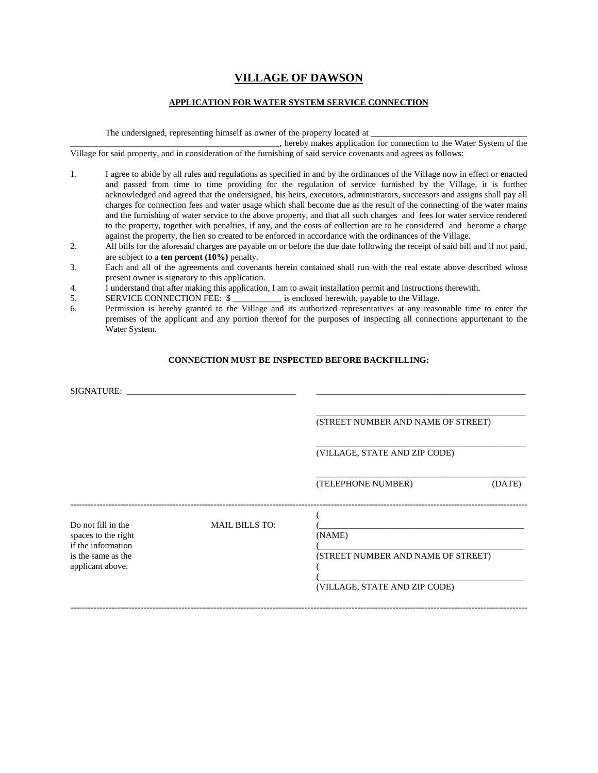## **VILLAGE OF DAWSON**

#### **APPLICATION FOR WATER SYSTEM SERVICE CONNECTION**

The undersigned, representing himself as owner of the property located at \_\_\_\_\_\_\_

\_\_\_\_\_\_\_\_\_\_\_\_\_\_\_\_\_\_\_\_\_\_\_\_\_\_\_\_\_\_\_\_\_\_\_\_\_\_\_\_\_\_\_\_\_\_\_, hereby makes application for connection to the Water System of the Village for said property, and in consideration of the furnishing of said service covenants and agrees as follows:

- 1. I agree to abide by all rules and regulations as specified in and by the ordinances of the Village now in effect or enacted and passed from time to time providing for the regulation of service furnished by the Village, it is further acknowledged and agreed that the undersigned, his heirs, executors, administrators, successors and assigns shall pay all charges for connection fees and water usage which shall become due as the result of the connecting of the water mains and the furnishing of water service to the above property, and that all such charges and fees for water service rendered to the property, together with penalties, if any, and the costs of collection are to be considered and become a charge against the property, the lien so created to be enforced in accordance with the ordinances of the Village.
- 2. All bills for the aforesaid charges are payable on or before the due date following the receipt of said bill and if not paid, are subject to a **ten percent (10%)** penalty.
- 3. Each and all of the agreements and covenants herein contained shall run with the real estate above described whose present owner is signatory to this application.
- 4. I understand that after making this application, I am to await installation permit and instructions therewith.<br>5. SERVICE CONNECTION FEE:  $\frac{1}{2}$  is enclosed herewith, payable to the Village.
- 5. SERVICE CONNECTION FEE: \$ is enclosed herewith, payable to the Village.
- 6. Permission is hereby granted to the Village and its authorized representatives at any reasonable time to enter the premises of the applicant and any portion thereof for the purposes of inspecting all connections appurtenant to the Water System.

### **CONNECTION MUST BE INSPECTED BEFORE BACKFILLING:**

| SIGNATURE:                                                                                                |                       |                                              |        |
|-----------------------------------------------------------------------------------------------------------|-----------------------|----------------------------------------------|--------|
|                                                                                                           |                       | (STREET NUMBER AND NAME OF STREET)           |        |
|                                                                                                           |                       | (VILLAGE, STATE AND ZIP CODE)                |        |
|                                                                                                           |                       | (TELEPHONE NUMBER)                           | (DATE) |
| Do not fill in the<br>spaces to the right<br>if the information<br>is the same as the<br>applicant above. | <b>MAIL BILLS TO:</b> | (NAME)<br>(STREET NUMBER AND NAME OF STREET) |        |
|                                                                                                           |                       | (VILLAGE, STATE AND ZIP CODE)                |        |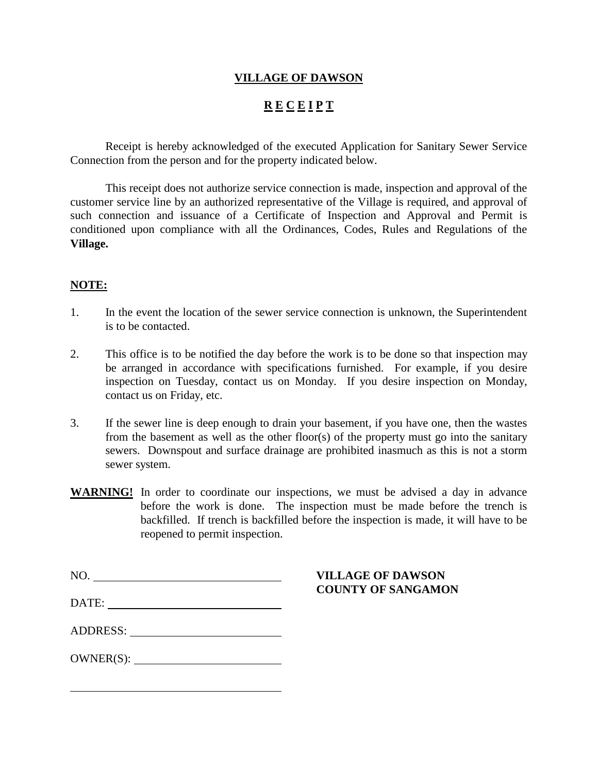# **VILLAGE OF DAWSON**

# **R E C E I P T**

Receipt is hereby acknowledged of the executed Application for Sanitary Sewer Service Connection from the person and for the property indicated below.

This receipt does not authorize service connection is made, inspection and approval of the customer service line by an authorized representative of the Village is required, and approval of such connection and issuance of a Certificate of Inspection and Approval and Permit is conditioned upon compliance with all the Ordinances, Codes, Rules and Regulations of the **Village.**

# **NOTE:**

- 1. In the event the location of the sewer service connection is unknown, the Superintendent is to be contacted.
- 2. This office is to be notified the day before the work is to be done so that inspection may be arranged in accordance with specifications furnished. For example, if you desire inspection on Tuesday, contact us on Monday. If you desire inspection on Monday, contact us on Friday, etc.
- 3. If the sewer line is deep enough to drain your basement, if you have one, then the wastes from the basement as well as the other floor(s) of the property must go into the sanitary sewers. Downspout and surface drainage are prohibited inasmuch as this is not a storm sewer system.
- **WARNING!** In order to coordinate our inspections, we must be advised a day in advance before the work is done. The inspection must be made before the trench is backfilled. If trench is backfilled before the inspection is made, it will have to be reopened to permit inspection.

**VILLAGE OF DAWSON COUNTY OF SANGAMON**